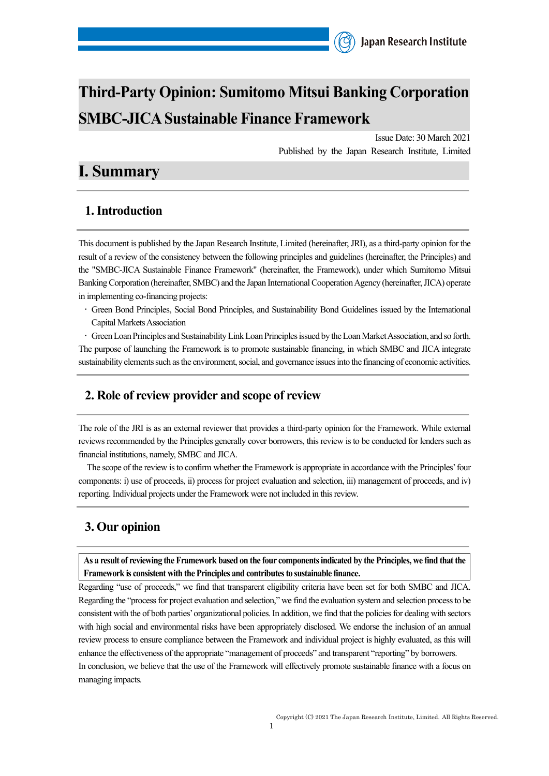# **Third-Party Opinion: Sumitomo Mitsui Banking Corporation SMBC-JICA Sustainable Finance Framework**

Issue Date: 30 March 2021 Published by the Japan Research Institute, Limited

## **I. Summary**

## **1. Introduction**

This document is published by the Japan Research Institute, Limited (hereinafter, JRI), as a third-party opinion for the result of a review of the consistency between the following principles and guidelines (hereinafter, the Principles) and the "SMBC-JICA Sustainable Finance Framework" (hereinafter, the Framework), under which Sumitomo Mitsui Banking Corporation (hereinafter, SMBC) and the Japan International Cooperation Agency (hereinafter, JICA) operate in implementing co-financing projects:

• Green Bond Principles, Social Bond Principles, and Sustainability Bond Guidelines issued by the International Capital Markets Association

• Green Loan Principles and Sustainability Link Loan Principles issued by the Loan Market Association, and so forth. The purpose of launching the Framework is to promote sustainable financing, in which SMBC and JICA integrate sustainability elements such as the environment, social, and governance issuesinto the financing of economic activities.

### **2. Role of review provider and scope of review**

The role of the JRI is as an external reviewer that provides a third-party opinion for the Framework. While external reviews recommended by the Principles generally cover borrowers, this review is to be conducted for lenders such as financial institutions, namely, SMBC and JICA.

The scope of the review is to confirm whether the Framework is appropriate in accordance with the Principles' four components: i) use of proceeds, ii) process for project evaluation and selection, iii) management of proceeds, and iv) reporting. Individual projects under the Framework were not included in this review.

## **3. Our opinion**

**As a result of reviewing the Framework based on the four components indicated by the Principles, we find that the Framework is consistent with the Principles and contributesto sustainable finance.**

Regarding "use of proceeds," we find that transparent eligibility criteria have been set for both SMBC and JICA. Regarding the "process for project evaluation and selection," we find the evaluation system and selection process to be consistent with the of both parties' organizational policies. In addition, we find that the policies for dealing with sectors with high social and environmental risks have been appropriately disclosed. We endorse the inclusion of an annual review process to ensure compliance between the Framework and individual project is highly evaluated, as this will enhance the effectiveness of the appropriate "management of proceeds" and transparent "reporting" by borrowers. In conclusion, we believe that the use of the Framework will effectively promote sustainable finance with a focus on managing impacts.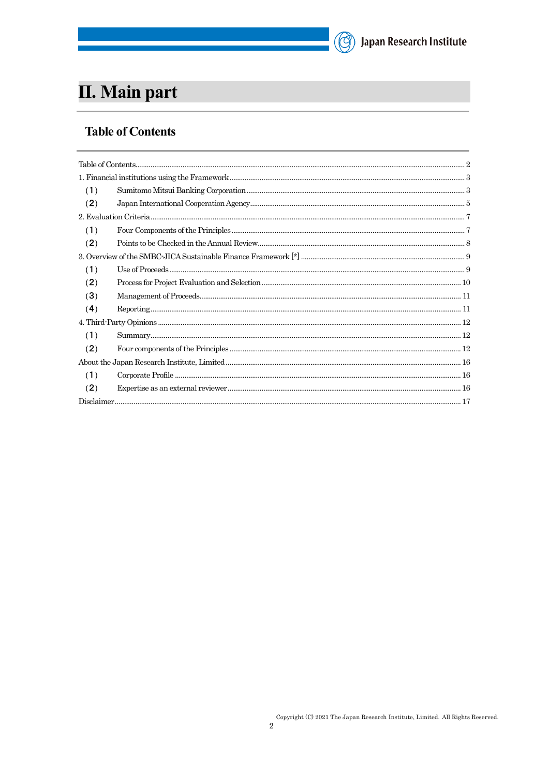# (C) Japan Research Institute

# II. Main part

## <span id="page-1-0"></span>**Table of Contents**

| (1) |  |  |
|-----|--|--|
| (2) |  |  |
|     |  |  |
| (1) |  |  |
| (2) |  |  |
|     |  |  |
| (1) |  |  |
| (2) |  |  |
| (3) |  |  |
| (4) |  |  |
|     |  |  |
| (1) |  |  |
| (2) |  |  |
|     |  |  |
| (1) |  |  |
| (2) |  |  |
|     |  |  |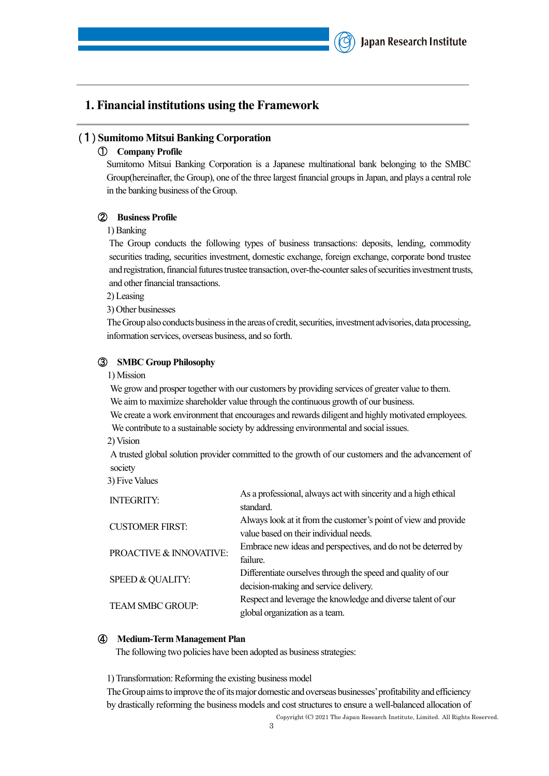### <span id="page-2-0"></span>**1. Financial institutions using the Framework**

#### <span id="page-2-1"></span>(1) **Sumitomo Mitsui Banking Corporation**

#### ① **Company Profile**

Sumitomo Mitsui Banking Corporation is a Japanese multinational bank belonging to the SMBC Group(hereinafter, the Group), one of the three largest financial groups in Japan, and plays a central role in the banking business of the Group.

#### ② **Business Profile**

1)Banking

The Group conducts the following types of business transactions: deposits, lending, commodity securities trading, securities investment, domestic exchange, foreign exchange, corporate bond trustee and registration, financial futures trustee transaction, over-the-counter sales of securities investment trusts, and other financial transactions.

2) Leasing

3) Other businesses

The Group also conducts business in the areas of credit, securities, investment advisories, data processing, information services, overseas business, and so forth.

#### ③ **SMBC Group Philosophy**

1) Mission

We grow and prosper together with our customers by providing services of greater value to them. We aim to maximize shareholder value through the continuous growth of our business.

We create a work environment that encourages and rewards diligent and highly motivated employees. We contribute to a sustainable society by addressing environmental and social issues.

2) Vision

A trusted global solution provider committed to the growth of our customers and the advancement of society

3) Five Values

| As a professional, always act with sincerity and a high ethical<br>standard. |
|------------------------------------------------------------------------------|
| Always look at it from the customer's point of view and provide              |
| value based on their individual needs.                                       |
| Embrace new ideas and perspectives, and do not be deterred by                |
| failure.                                                                     |
| Differentiate ourselves through the speed and quality of our                 |
| decision-making and service delivery.                                        |
| Respect and leverage the knowledge and diverse talent of our                 |
| global organization as a team.                                               |
|                                                                              |

#### ④ **Medium-Term Management Plan**

The following two policies have been adopted as business strategies:

1) Transformation: Reforming the existing business model

Copyright (C) 2021 The Japan Research Institute, Limited. All Rights Reserved. The Group aims to improve the of its major domestic and overseas businesses' profitability and efficiency by drastically reforming the business models and cost structures to ensure a well-balanced allocation of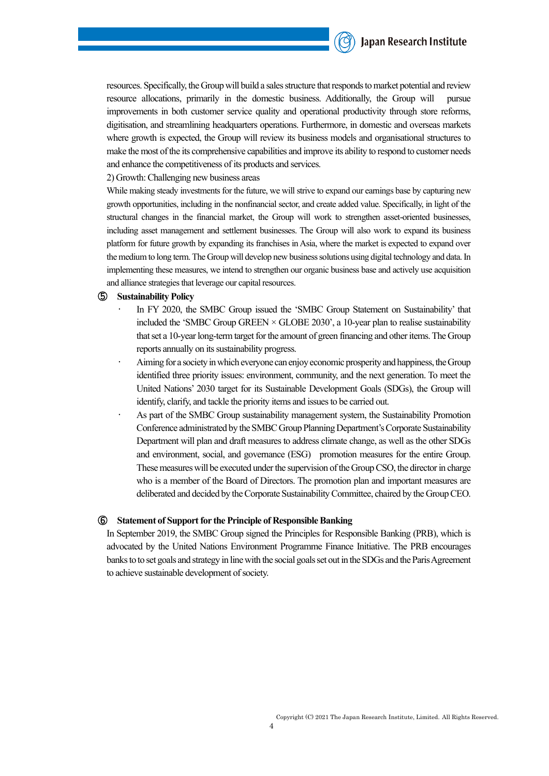

resources. Specifically, the Group will build a sales structure that responds to market potential and review resource allocations, primarily in the domestic business. Additionally, the Group will pursue improvements in both customer service quality and operational productivity through store reforms, digitisation, and streamlining headquarters operations. Furthermore, in domestic and overseas markets where growth is expected, the Group will review its business models and organisational structures to make the most of the its comprehensive capabilities and improve its ability to respond to customer needs and enhance the competitiveness of its products and services.

2) Growth: Challenging new business areas

While making steady investments for the future, we will strive to expand our earnings base by capturing new growth opportunities, including in the nonfinancial sector, and create added value. Specifically, in light of the structural changes in the financial market, the Group will work to strengthen asset-oriented businesses, including asset management and settlement businesses. The Group will also work to expand its business platform for future growth by expanding its franchises in Asia, where the market is expected to expand over the medium to long term. The Group will develop new business solutions using digital technology and data. In implementing these measures, we intend to strengthen our organic business base and actively use acquisition and alliance strategies that leverage our capital resources.

#### ⑤ **Sustainability Policy**

- In FY 2020, the SMBC Group issued the 'SMBC Group Statement on Sustainability' that included the 'SMBC Group GREEN  $\times$  GLOBE 2030', a 10-year plan to realise sustainability that set a 10-year long-term target for the amount of green financing and other items. The Group reports annually on its sustainability progress.
- Aiming for a society in which everyone can enjoy economic prosperity and happiness, the Group identified three priority issues: environment, community, and the next generation. To meet the United Nations' 2030 target for its Sustainable Development Goals (SDGs), the Group will identify, clarify, and tackle the priority items and issues to be carried out.
- As part of the SMBC Group sustainability management system, the Sustainability Promotion Conference administrated by the SMBC Group Planning Department's Corporate Sustainability Department will plan and draft measures to address climate change, as well as the other SDGs and environment, social, and governance (ESG) promotion measures for the entire Group. These measures will be executed under the supervision of the Group CSO, the director in charge who is a member of the Board of Directors. The promotion plan and important measures are deliberated and decided by the Corporate Sustainability Committee, chaired by the Group CEO.

#### ⑥ **Statement of Support for the Principle of Responsible Banking**

In September 2019, the SMBC Group signed the Principles for Responsible Banking (PRB), which is advocated by the United Nations Environment Programme Finance Initiative. The PRB encourages banks to to set goals and strategy in line with the social goals set out in the SDGs and the Paris Agreement to achieve sustainable development of society.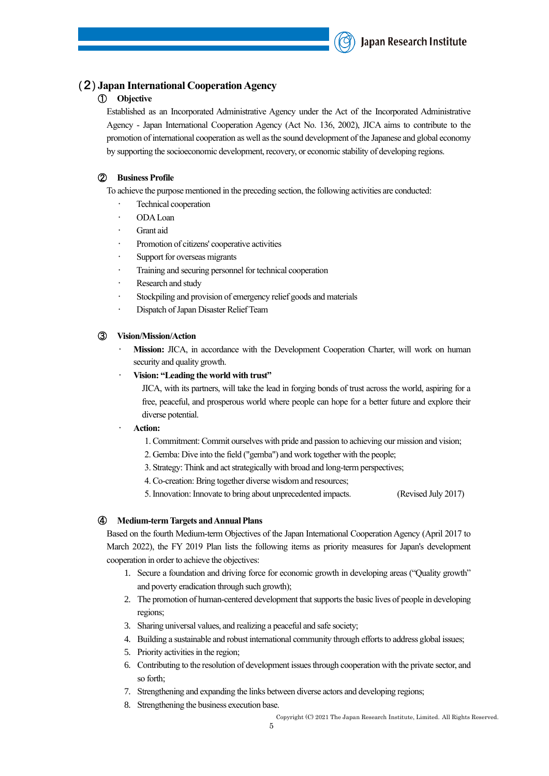

#### <span id="page-4-0"></span>(2) **Japan International Cooperation Agency**

#### ① **Objective**

Established as an Incorporated Administrative Agency under the Act of the Incorporated Administrative Agency - Japan International Cooperation Agency (Act No. 136, 2002), JICA aims to contribute to the promotion of international cooperation as well as the sound development of the Japanese and global economy by supporting the socioeconomic development, recovery, or economic stability of developing regions.

#### ② **Business Profile**

To achieve the purpose mentioned in the preceding section, the following activities are conducted:

- Technical cooperation
- ODA Loan
- Grant aid
- Promotion of citizens' cooperative activities
- Support for overseas migrants
- Training and securing personnel for technical cooperation
- Research and study
- Stockpiling and provision of emergency relief goods and materials
- Dispatch of Japan Disaster Relief Team

#### ③ **Vision/Mission/Action**

- **Mission:** JICA, in accordance with the Development Cooperation Charter, will work on human security and quality growth.
- ‧ **Vision: "Leading the world with trust"**

JICA, with its partners, will take the lead in forging bonds of trust across the world, aspiring for a free, peaceful, and prosperous world where people can hope for a better future and explore their diverse potential.

- ‧ **Action:**
	- 1. Commitment: Commit ourselves with pride and passion to achieving our mission and vision;
	- 2. Gemba: Dive into the field ("gemba") and work together with the people;
	- 3. Strategy: Think and act strategically with broad and long-term perspectives;
	- 4. Co-creation: Bring together diverse wisdom and resources;
	- 5. Innovation: Innovate to bring about unprecedented impacts. (Revised July 2017)

#### ④ **Medium-term Targets and Annual Plans**

Based on the fourth Medium-term Objectives of the Japan International Cooperation Agency (April 2017 to March 2022), the FY 2019 Plan lists the following items as priority measures for Japan's development cooperation in order to achieve the objectives:

- 1. Secure a foundation and driving force for economic growth in developing areas ("Quality growth" and poverty eradication through such growth);
- 2. The promotion of human-centered development that supports the basic lives of people in developing regions;
- 3. Sharing universal values, and realizing a peaceful and safe society;
- 4. Building a sustainable and robust international community through efforts to address global issues;
- 5. Priority activities in the region;
- 6. Contributing to the resolution of development issues through cooperation with the private sector, and so forth;
- 7. Strengthening and expanding the links between diverse actors and developing regions;
- 8. Strengthening the business execution base.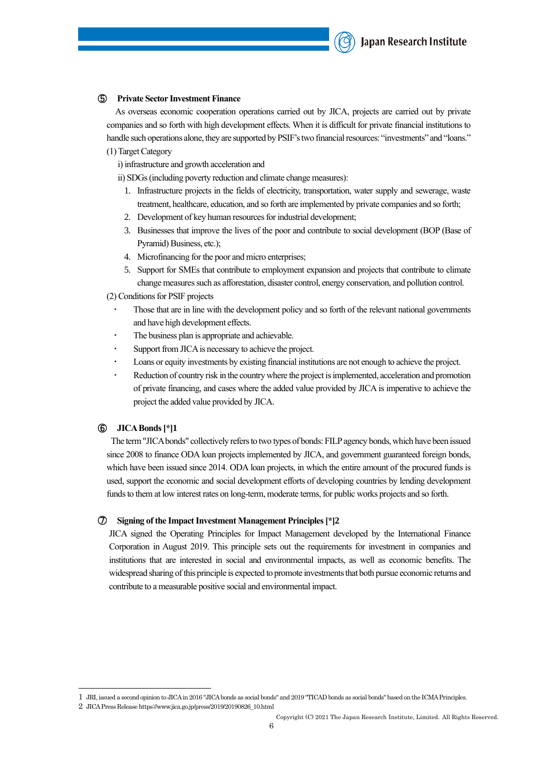#### ⑤ **Private Sector Investment Finance**

As overseas economic cooperation operations carried out by JICA, projects are carried out by private companies and so forth with high development effects. When it is difficult for private financial institutions to handle such operations alone, they are supported by PSIF's two financial resources: "investments" and "loans." (1)Target Category

i) infrastructure and growth acceleration and

ii) SDGs (including poverty reduction and climate change measures):

- 1. Infrastructure projects in the fields of electricity, transportation, water supply and sewerage, waste treatment, healthcare, education, and so forth are implemented by private companies and so forth;
- 2. Development of key human resources for industrial development;
- 3. Businesses that improve the lives of the poor and contribute to social development (BOP (Base of Pyramid) Business, etc.);
- 4. Microfinancing for the poor and micro enterprises;
- 5. Support for SMEs that contribute to employment expansion and projects that contribute to climate change measures such as afforestation, disaster control, energy conservation, and pollution control.
- (2) Conditions for PSIF projects
	- Those that are in line with the development policy and so forth of the relevant national governments and have high development effects.
	- The business plan is appropriate and achievable.
	- Support from JICA is necessary to achieve the project.
	- Loans or equity investments by existing financial institutions are not enough to achieve the project.
	- Reduction of country risk in the country where the project is implemented, acceleration and promotion of private financing, and cases where the added value provided by JICA is imperative to achieve the project the added value provided by JICA.

#### ⑥ **JICA Bonds[\*]1**

The term "JICA bonds" collectively refers to two types of bonds: FILP agency bonds, which have been issued since 2008 to finance ODA loan projects implemented by JICA, and government guaranteed foreign bonds, which have been issued since 2014. ODA loan projects, in which the entire amount of the procured funds is used, support the economic and social development efforts of developing countries by lending development funds to them at low interest rates on long-term, moderate terms, for public works projects and so forth.

#### ⑦ **Signing of the Impact Investment Management Principles[\*]2**

JICA signed the Operating Principles for Impact Management developed by the International Finance Corporation in August 2019. This principle sets out the requirements for investment in companies and institutions that are interested in social and environmental impacts, as well as economic benefits. The widespread sharing of this principle is expected to promote investments that both pursue economic returns and contribute to a measurable positive social and environmental impact.

<sup>1</sup> JRI, issued a second opinion to JICA in 2016 "JICA bonds as social bonds" and 2019 "TICAD bonds as social bonds" based on the ICMA Principles.

<sup>2</sup> JICA Press Release https://www.jica.go.jp/press/2019/20190826\_10.html

Copyright (C) 2021 The Japan Research Institute, Limited. All Rights Reserved.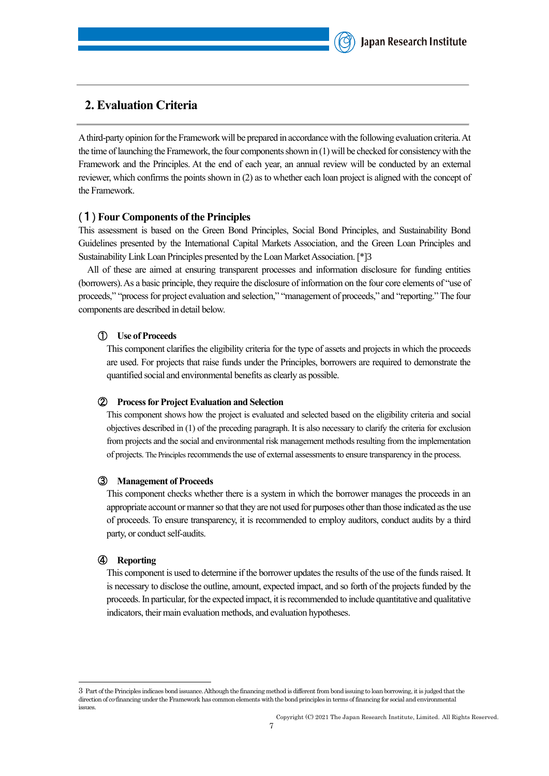

### <span id="page-6-0"></span>**2. Evaluation Criteria**

A third-party opinion for the Framework will be prepared in accordance with the following evaluation criteria. At the time of launching the Framework, the four components shown in  $(1)$  will be checked for consistency with the Framework and the Principles. At the end of each year, an annual review will be conducted by an external reviewer, which confirms the points shown in (2) as to whether each loan project is aligned with the concept of the Framework.

#### <span id="page-6-1"></span>(1) **Four Components of the Principles**

This assessment is based on the Green Bond Principles, Social Bond Principles, and Sustainability Bond Guidelines presented by the International Capital Markets Association, and the Green Loan Principles and Sustainability Link Loan Principles presented by the Loan Market Association.[\*]3

All of these are aimed at ensuring transparent processes and information disclosure for funding entities (borrowers). As a basic principle, they require the disclosure of information on the four core elements of "use of proceeds," "process for project evaluation and selection," "management of proceeds," and "reporting." The four components are described in detail below.

#### ① **Use of Proceeds**

This component clarifies the eligibility criteria for the type of assets and projects in which the proceeds are used. For projects that raise funds under the Principles, borrowers are required to demonstrate the quantified social and environmental benefits as clearly as possible.

#### ② **Process for Project Evaluation and Selection**

This component shows how the project is evaluated and selected based on the eligibility criteria and social objectives described in (1) of the preceding paragraph. It is also necessary to clarify the criteria for exclusion from projects and the social and environmental risk management methods resulting from the implementation of projects. The Principlesrecommends the use of external assessments to ensure transparency in the process.

#### ③ **Management of Proceeds**

This component checks whether there is a system in which the borrower manages the proceeds in an appropriate account or manner so that they are not used for purposes other than those indicated as the use of proceeds. To ensure transparency, it is recommended to employ auditors, conduct audits by a third party, or conduct self-audits.

#### ④ **Reporting**

This component is used to determine if the borrower updates the results of the use of the funds raised. It is necessary to disclose the outline, amount, expected impact, and so forth of the projects funded by the proceeds. In particular, for the expected impact, it is recommended to include quantitative and qualitative indicators, their main evaluation methods, and evaluation hypotheses.

<sup>3</sup> Part of the Principles indicaes bond issuance. Although the financing method is different from bond issuing to loan borrowing, it is judged that the direction of co-financing under the Framework has common elements with the bond principles in terms of financing for social and environmental issues.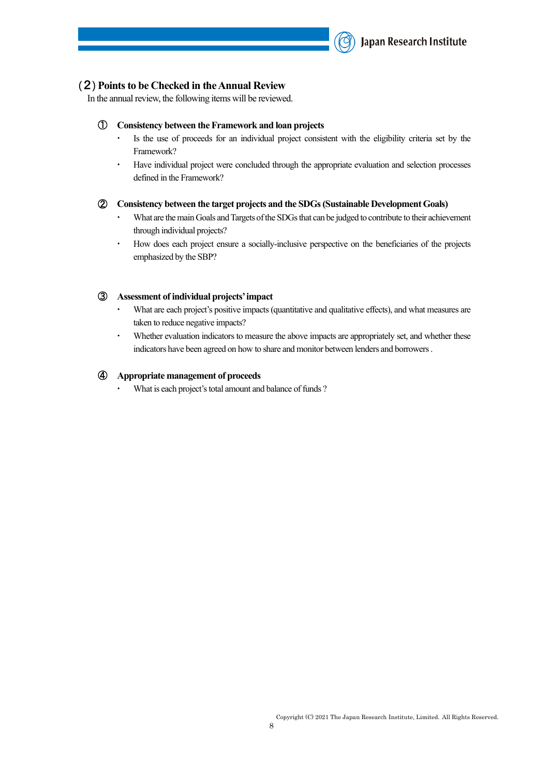

#### <span id="page-7-0"></span>(2) **Points to be Checked in the Annual Review**

In the annual review, the following items will be reviewed.

#### ① **Consistency between the Framework and loan projects**

- Is the use of proceeds for an individual project consistent with the eligibility criteria set by the Framework?
- ・ Have individual project were concluded through the appropriate evaluation and selection processes defined in the Framework?

#### ② **Consistency between the target projects and the SDGs (Sustainable Development Goals)**

- What are the main Goals and Targets of the SDGs that can be judged to contribute to their achievement through individual projects?
- ・ How does each project ensure a socially-inclusive perspective on the beneficiaries of the projects emphasized by the SBP?

#### ③ **Assessment of individual projects' impact**

- What are each project's positive impacts (quantitative and qualitative effects), and what measures are taken to reduce negative impacts?
- Whether evaluation indicators to measure the above impacts are appropriately set, and whether these indicators have been agreed on how to share and monitor between lenders and borrowers.

#### ④ **Appropriate management of proceeds**

What is each project's total amount and balance of funds ?

Copyright (C) 2021 The Japan Research Institute, Limited. All Rights Reserved.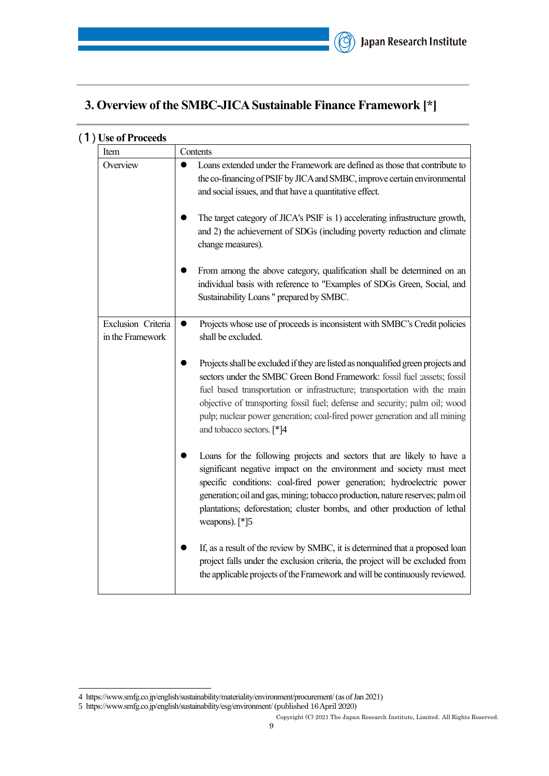# <span id="page-8-0"></span>**3. Overview of the SMBC-JICA Sustainable Finance Framework [\*]**

| Item                                   | Contents                                                                                                                                                                                                                                                                                                                                                                                                                            |
|----------------------------------------|-------------------------------------------------------------------------------------------------------------------------------------------------------------------------------------------------------------------------------------------------------------------------------------------------------------------------------------------------------------------------------------------------------------------------------------|
| Overview                               | Loans extended under the Framework are defined as those that contribute to<br>●<br>the co-financing of PSIF by JICA and SMBC, improve certain environmental<br>and social issues, and that have a quantitative effect.<br>The target category of JICA's PSIF is 1) accelerating infrastructure growth,<br>and 2) the achievement of SDGs (including poverty reduction and climate                                                   |
|                                        | change measures).<br>From among the above category, qualification shall be determined on an                                                                                                                                                                                                                                                                                                                                         |
|                                        | individual basis with reference to "Examples of SDGs Green, Social, and<br>Sustainability Loans " prepared by SMBC.                                                                                                                                                                                                                                                                                                                 |
| Exclusion Criteria<br>in the Framework | Projects whose use of proceeds is inconsistent with SMBC's Credit policies<br>$\bullet$<br>shall be excluded.                                                                                                                                                                                                                                                                                                                       |
|                                        | Projects shall be excluded if they are listed as nonqualified green projects and<br>sectors under the SMBC Green Bond Framework: fossil fuel ;assets; fossil<br>fuel based transportation or infrastructure; transportation with the main<br>objective of transporting fossil fuel; defense and security; palm oil; wood<br>pulp; nuclear power generation; coal-fired power generation and all mining<br>and tobacco sectors. [*]4 |
|                                        | Loans for the following projects and sectors that are likely to have a<br>significant negative impact on the environment and society must meet<br>specific conditions: coal-fired power generation; hydroelectric power<br>generation; oil and gas, mining; tobacco production, nature reserves; palm oil<br>plantations; deforestation; cluster bombs, and other production of lethal<br>weapons). [*]5                            |
|                                        | If, as a result of the review by SMBC, it is determined that a proposed loan<br>project falls under the exclusion criteria, the project will be excluded from<br>the applicable projects of the Framework and will be continuously reviewed.                                                                                                                                                                                        |

## <span id="page-8-1"></span>(1) **Use of Proceeds**

<sup>4</sup> https://www.smfg.co.jp/english/sustainability/materiality/environment/procurement/ (as of Jan 2021)

<sup>5</sup> https://www.smfg.co.jp/english/sustainability/esg/environment/ (published 16 April 2020)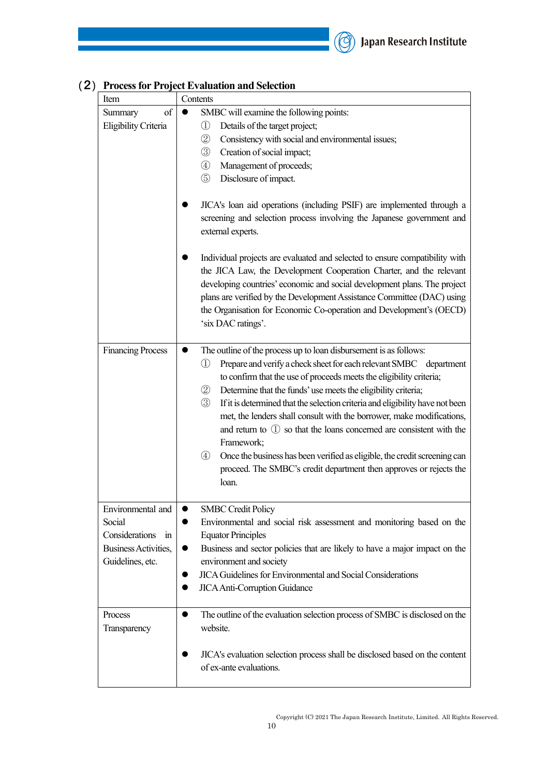

<span id="page-9-0"></span>

| Item                                                                                         | Contents                                                                                                                                                                                                                                                                                                                                                                                                                                                                                                                                                                                                                                                                                                                                                                      |
|----------------------------------------------------------------------------------------------|-------------------------------------------------------------------------------------------------------------------------------------------------------------------------------------------------------------------------------------------------------------------------------------------------------------------------------------------------------------------------------------------------------------------------------------------------------------------------------------------------------------------------------------------------------------------------------------------------------------------------------------------------------------------------------------------------------------------------------------------------------------------------------|
| of<br>Summary                                                                                | SMBC will examine the following points:                                                                                                                                                                                                                                                                                                                                                                                                                                                                                                                                                                                                                                                                                                                                       |
| Eligibility Criteria                                                                         | Details of the target project;<br>$\textcircled{\scriptsize{1}}$<br>$^{\circledR}$<br>Consistency with social and environmental issues;<br>$\circledS$<br>Creation of social impact;<br>$\circled{4}$<br>Management of proceeds;<br>$\circledS$<br>Disclosure of impact.                                                                                                                                                                                                                                                                                                                                                                                                                                                                                                      |
|                                                                                              | JICA's loan aid operations (including PSIF) are implemented through a<br>screening and selection process involving the Japanese government and<br>external experts.                                                                                                                                                                                                                                                                                                                                                                                                                                                                                                                                                                                                           |
|                                                                                              | Individual projects are evaluated and selected to ensure compatibility with<br>the JICA Law, the Development Cooperation Charter, and the relevant<br>developing countries' economic and social development plans. The project<br>plans are verified by the Development Assistance Committee (DAC) using<br>the Organisation for Economic Co-operation and Development's (OECD)<br>'six DAC ratings'.                                                                                                                                                                                                                                                                                                                                                                         |
| <b>Financing Process</b>                                                                     | The outline of the process up to loan disbursement is as follows:<br>Prepare and verify a check sheet for each relevant SMBC department<br>①<br>to confirm that the use of proceeds meets the eligibility criteria;<br>$^{\circledR}$<br>Determine that the funds' use meets the eligibility criteria;<br>$\circled{3}$<br>If it is determined that the selection criteria and eligibility have not been<br>met, the lenders shall consult with the borrower, make modifications,<br>and return to $\left( \mathbb{D} \right)$ so that the loans concerned are consistent with the<br>Framework;<br>$\circled{4}$<br>Once the business has been verified as eligible, the credit screening can<br>proceed. The SMBC's credit department then approves or rejects the<br>loan. |
| Environmental and<br>Social<br>Considerations in<br>Business Activities,<br>Guidelines, etc. | <b>SMBC</b> Credit Policy<br>$\bullet$<br>Environmental and social risk assessment and monitoring based on the<br><b>Equator Principles</b><br>Business and sector policies that are likely to have a major impact on the<br>environment and society<br><b>JICA Guidelines for Environmental and Social Considerations</b><br><b>JICA Anti-Corruption Guidance</b>                                                                                                                                                                                                                                                                                                                                                                                                            |
| Process<br>Transparency                                                                      | The outline of the evaluation selection process of SMBC is disclosed on the<br>website.<br>JICA's evaluation selection process shall be disclosed based on the content<br>of ex-ante evaluations.                                                                                                                                                                                                                                                                                                                                                                                                                                                                                                                                                                             |

# (2) **Process for Project Evaluation and Selection**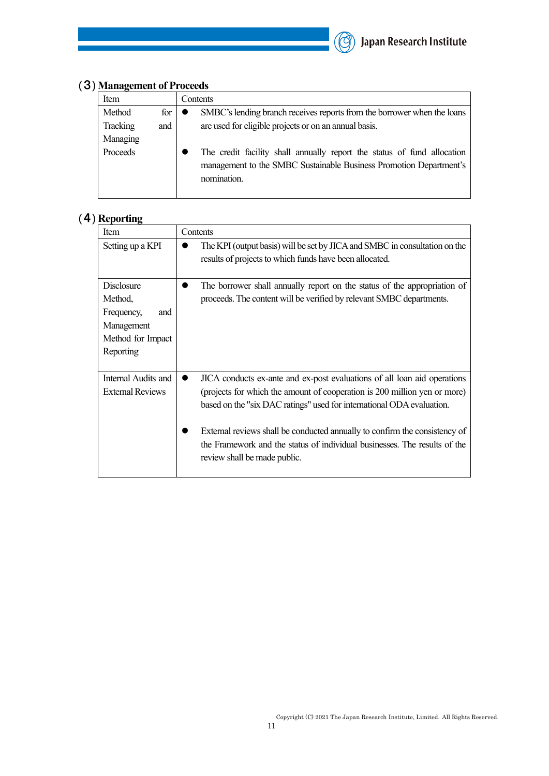

<span id="page-10-0"></span>

| (3) Management of Proceeds |  |
|----------------------------|--|
|                            |  |

| Item     |     | Contents                                                                                                                                      |
|----------|-----|-----------------------------------------------------------------------------------------------------------------------------------------------|
| Method   | for | SMBC's lending branch receives reports from the borrower when the loans                                                                       |
| Tracking | and | are used for eligible projects or on an annual basis.                                                                                         |
| Managing |     |                                                                                                                                               |
| Proceeds |     | The credit facility shall annually report the status of fund allocation<br>management to the SMBC Sustainable Business Promotion Department's |
|          |     | nomination.                                                                                                                                   |

# <span id="page-10-1"></span>(4) **Reporting**

| Item                                                                                              | Contents                                                                                                                                                                                                                                                                                                                                                                                                                               |
|---------------------------------------------------------------------------------------------------|----------------------------------------------------------------------------------------------------------------------------------------------------------------------------------------------------------------------------------------------------------------------------------------------------------------------------------------------------------------------------------------------------------------------------------------|
| Setting up a KPI                                                                                  | The KPI (output basis) will be set by JICA and SMBC in consultation on the<br>results of projects to which funds have been allocated.                                                                                                                                                                                                                                                                                                  |
| <b>Disclosure</b><br>Method,<br>Frequency,<br>and<br>Management<br>Method for Impact<br>Reporting | The borrower shall annually report on the status of the appropriation of<br>proceeds. The content will be verified by relevant SMBC departments.                                                                                                                                                                                                                                                                                       |
| Internal Audits and<br><b>External Reviews</b>                                                    | JICA conducts ex-ante and ex-post evaluations of all loan aid operations<br>$\bullet$<br>(projects for which the amount of cooperation is 200 million yen or more)<br>based on the "six DAC ratings" used for international ODA evaluation.<br>External reviews shall be conducted annually to confirm the consistency of<br>the Framework and the status of individual businesses. The results of the<br>review shall be made public. |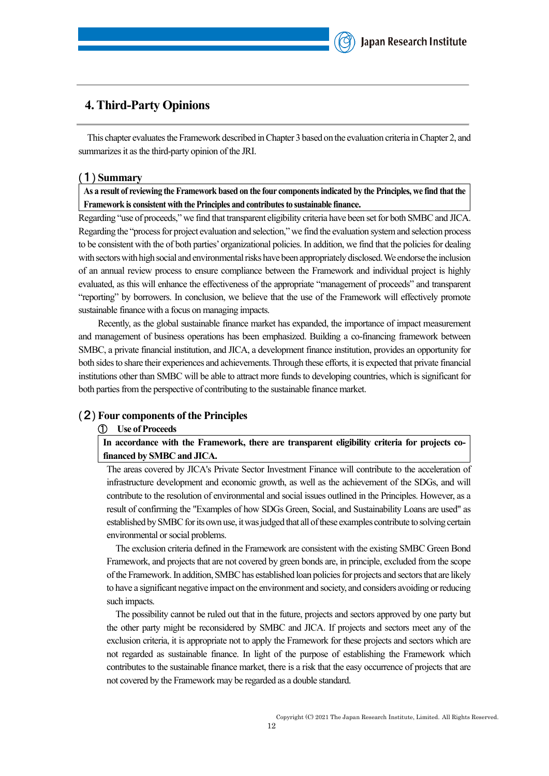### <span id="page-11-0"></span>**4. Third-Party Opinions**

This chapter evaluates the Framework described in Chapter 3 based on the evaluation criteria in Chapter 2, and summarizes it as the third-party opinion of the JRI.

#### <span id="page-11-1"></span>(1) **Summary**

**As a result of reviewing the Framework based on the four components indicated by the Principles, we find that the Framework is consistent with the Principles and contributes to sustainable finance.**

Regarding "use of proceeds," we find that transparent eligibility criteria have been set for both SMBC and JICA. Regarding the "process for project evaluation and selection," we find the evaluation system and selection process to be consistent with the of both parties' organizational policies. In addition, we find that the policies for dealing with sectors with high social and environmental risks have been appropriately disclosed. We endorse the inclusion of an annual review process to ensure compliance between the Framework and individual project is highly evaluated, as this will enhance the effectiveness of the appropriate "management of proceeds" and transparent "reporting" by borrowers. In conclusion, we believe that the use of the Framework will effectively promote sustainable finance with a focus on managing impacts.

Recently, as the global sustainable finance market has expanded, the importance of impact measurement and management of business operations has been emphasized. Building a co-financing framework between SMBC, a private financial institution, and JICA, a development finance institution, provides an opportunity for both sides to share their experiences and achievements. Through these efforts, it is expected that private financial institutions other than SMBC will be able to attract more funds to developing countries, which is significant for both parties from the perspective of contributing to the sustainable finance market.

#### <span id="page-11-2"></span>(2) **Four components of the Principles**

#### ① **Use of Proceeds**

**In accordance with the Framework, there are transparent eligibility criteria for projects cofinanced by SMBC and JICA.**

The areas covered by JICA's Private Sector Investment Finance will contribute to the acceleration of infrastructure development and economic growth, as well as the achievement of the SDGs, and will contribute to the resolution of environmental and social issues outlined in the Principles. However, as a result of confirming the "Examples of how SDGs Green, Social, and Sustainability Loans are used" as established by SMBC for its own use, it was judged that all of these examples contribute to solving certain environmental or social problems.

The exclusion criteria defined in the Framework are consistent with the existing SMBC Green Bond Framework, and projects that are not covered by green bonds are, in principle, excluded from the scope of the Framework. In addition, SMBC has established loan policies for projects and sectors that are likely to have a significant negative impact on the environment and society, and considers avoiding or reducing such impacts.

The possibility cannot be ruled out that in the future, projects and sectors approved by one party but the other party might be reconsidered by SMBC and JICA. If projects and sectors meet any of the exclusion criteria, it is appropriate not to apply the Framework for these projects and sectors which are not regarded as sustainable finance. In light of the purpose of establishing the Framework which contributes to the sustainable finance market, there is a risk that the easy occurrence of projects that are not covered by the Framework may be regarded as a double standard.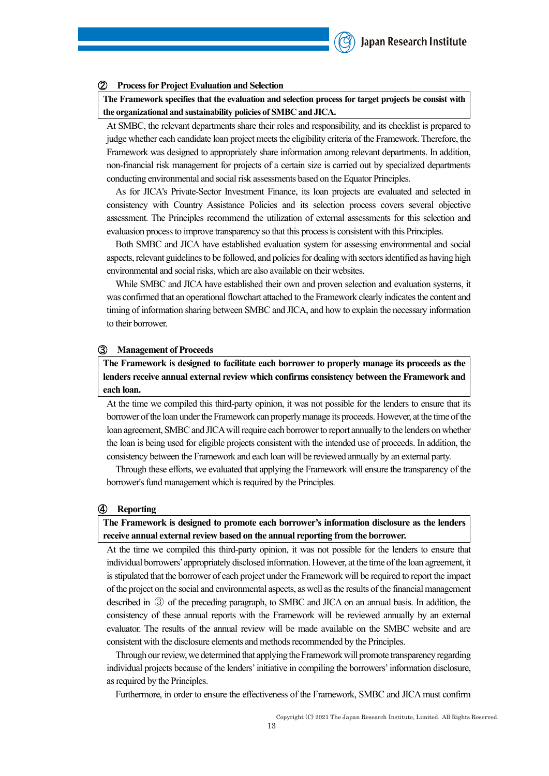#### ② **Process for Project Evaluation and Selection**

**The Framework specifies that the evaluation and selection process for target projects be consist with the organizational and sustainability policies of SMBC and JICA.**

At SMBC, the relevant departments share their roles and responsibility, and its checklist is prepared to judge whether each candidate loan project meets the eligibility criteria of the Framework. Therefore, the Framework was designed to appropriately share information among relevant departments. In addition, non-financial risk management for projects of a certain size is carried out by specialized departments conducting environmental and social risk assessments based on the Equator Principles.

As for JICA's Private-Sector Investment Finance, its loan projects are evaluated and selected in consistency with Country Assistance Policies and its selection process covers several objective assessment. The Principles recommend the utilization of external assessments for this selection and evaluasion process to improve transparency so that this process is consistent with this Principles.

Both SMBC and JICA have established evaluation system for assessing environmental and social aspects, relevant guidelines to be followed, and policies for dealing with sectors identified as having high environmental and social risks, which are also available on their websites.

While SMBC and JICA have established their own and proven selection and evaluation systems, it was confirmed that an operational flowchart attached to the Framework clearly indicates the content and timing of information sharing between SMBC and JICA, and how to explain the necessary information to their borrower.

#### ③ **Management of Proceeds**

**The Framework is designed to facilitate each borrower to properly manage its proceeds as the lenders receive annual external review which confirms consistency between the Framework and each loan.**

At the time we compiled this third-party opinion, it was not possible for the lenders to ensure that its borrower of the loan under the Framework can properly manage its proceeds. However, at the time of the loan agreement, SMBC and JICAwill require each borrower to report annually to the lenders on whether the loan is being used for eligible projects consistent with the intended use of proceeds. In addition, the consistency between the Framework and each loan will be reviewed annually by an external party.

Through these efforts, we evaluated that applying the Framework will ensure the transparency of the borrower's fund management which is required by the Principles.

#### ④ **Reporting**

**The Framework is designed to promote each borrower's information disclosure as the lenders receive annual external review based on the annual reporting from the borrower.**

At the time we compiled this third-party opinion, it was not possible for the lenders to ensure that individual borrowers' appropriately disclosed information. However, at the time of the loan agreement, it is stipulated that the borrower of each project under the Framework will be required to report the impact of the project on the social and environmental aspects, as well as the results of the financial management described in ③ of the preceding paragraph, to SMBC and JICA on an annual basis. In addition, the consistency of these annual reports with the Framework will be reviewed annually by an external evaluator. The results of the annual review will be made available on the SMBC website and are consistent with the disclosure elements and methods recommended by the Principles.

Through our review, we determined that applying the Framework will promote transparency regarding individual projects because of the lenders' initiative in compiling the borrowers' information disclosure, as required by the Principles.

Furthermore, in order to ensure the effectiveness of the Framework, SMBC and JICA must confirm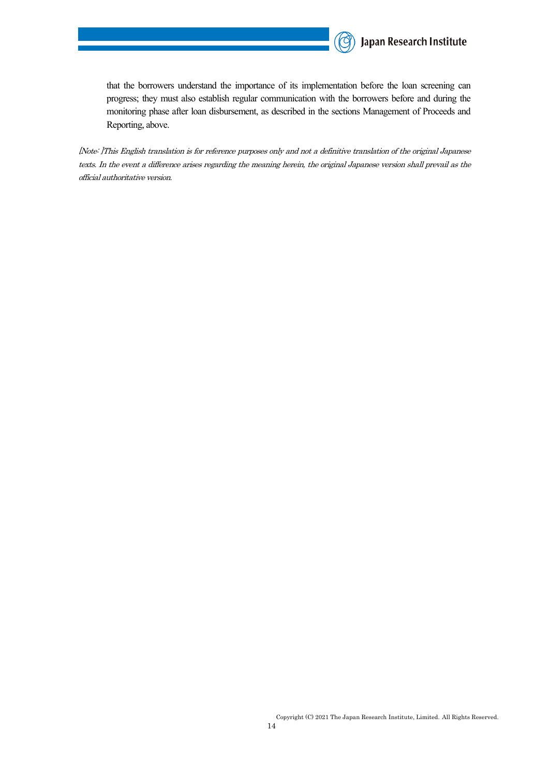

that the borrowers understand the importance of its implementation before the loan screening can progress; they must also establish regular communication with the borrowers before and during the monitoring phase after loan disbursement, as described in the sections Management of Proceeds and Reporting, above.

[Note: ]This English translation is for reference purposes only and not a definitive translation of the original Japanese texts. In the event a difference arises regarding the meaning herein, the original Japanese version shall prevail as the official authoritative version.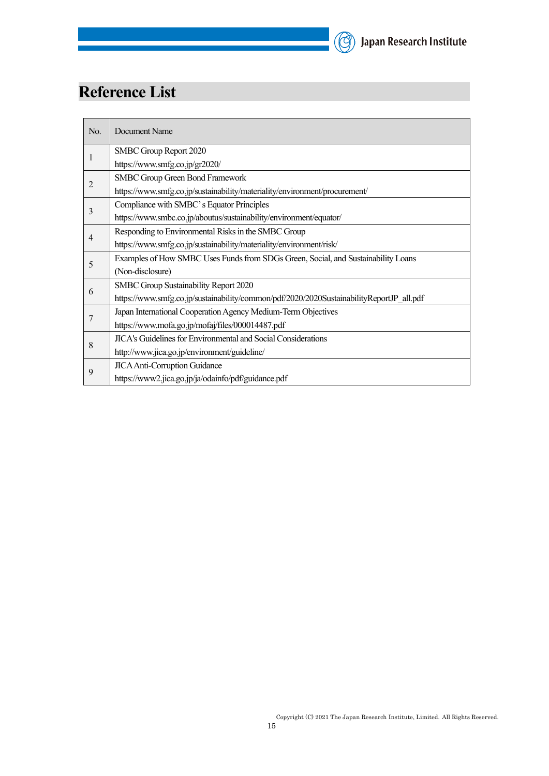# (C) Japan Research Institute

# **Reference List**

| No.            | Document Name                                                                            |
|----------------|------------------------------------------------------------------------------------------|
|                | SMBC Group Report 2020                                                                   |
|                | https://www.smfg.co.jp/gr2020/                                                           |
| 2              | <b>SMBC Group Green Bond Framework</b>                                                   |
|                | https://www.smfg.co.jp/sustainability/materiality/environment/procurement/               |
| 3              | Compliance with SMBC's Equator Principles                                                |
|                | https://www.smbc.co.jp/aboutus/sustainability/environment/equator/                       |
| $\overline{4}$ | Responding to Environmental Risks in the SMBC Group                                      |
|                | https://www.smfg.co.jp/sustainability/materiality/environment/risk/                      |
| 5              | Examples of How SMBC Uses Funds from SDGs Green, Social, and Sustainability Loans        |
|                | (Non-disclosure)                                                                         |
| 6              | SMBC Group Sustainability Report 2020                                                    |
|                | https://www.smfg.co.jp/sustainability/common/pdf/2020/2020SustainabilityReportJP all.pdf |
|                | Japan International Cooperation Agency Medium-Term Objectives                            |
|                | https://www.mofa.go.jp/mofaj/files/000014487.pdf                                         |
| 8              | JICA's Guidelines for Environmental and Social Considerations                            |
|                | http://www.jica.go.jp/environment/guideline/                                             |
|                | <b>JICA Anti-Corruption Guidance</b>                                                     |
| 9              | https://www2.jica.go.jp/ja/odainfo/pdf/guidance.pdf                                      |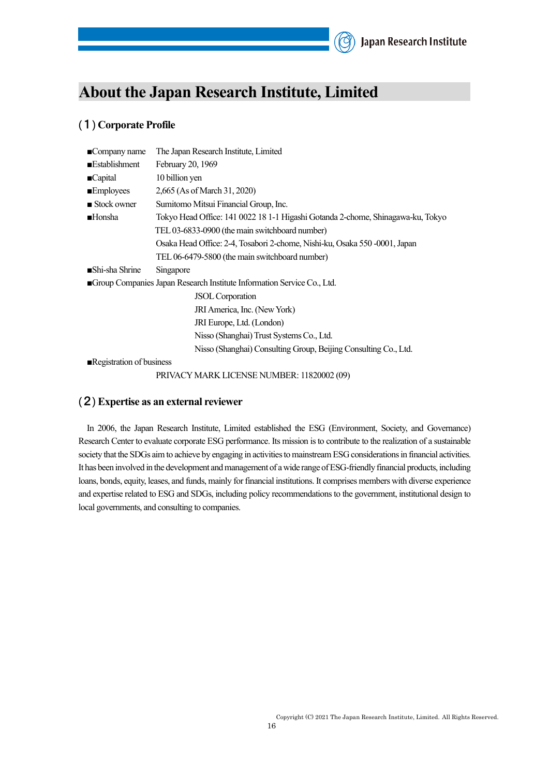# <span id="page-15-0"></span>**About the Japan Research Institute, Limited**

### <span id="page-15-1"></span>(1) **Corporate Profile**

| $\blacksquare$ Company name                                            | The Japan Research Institute, Limited                                           |  |
|------------------------------------------------------------------------|---------------------------------------------------------------------------------|--|
| <b>Establishment</b>                                                   | February 20, 1969                                                               |  |
| ■Capital                                                               | 10 billion yen                                                                  |  |
| <b>Employees</b>                                                       | 2,665 (As of March 31, 2020)                                                    |  |
| $\blacksquare$ Stock owner                                             | Sumitomo Mitsui Financial Group, Inc.                                           |  |
| <b>■Honsha</b>                                                         | Tokyo Head Office: 141 0022 18 1-1 Higashi Gotanda 2-chome, Shinagawa-ku, Tokyo |  |
|                                                                        | TEL 03-6833-0900 (the main switchboard number)                                  |  |
|                                                                        | Osaka Head Office: 2-4, Tosabori 2-chome, Nishi-ku, Osaka 550 -0001, Japan      |  |
|                                                                        | TEL 06-6479-5800 (the main switchboard number)                                  |  |
| ■Shi-sha Shrine                                                        | Singapore                                                                       |  |
| Group Companies Japan Research Institute Information Service Co., Ltd. |                                                                                 |  |
|                                                                        | <b>JSOL</b> Corporation                                                         |  |
|                                                                        | JRI America, Inc. (New York)                                                    |  |
|                                                                        | JRI Europe, Ltd. (London)                                                       |  |
|                                                                        | Nisso (Shanghai) Trust Systems Co., Ltd.                                        |  |
|                                                                        | Nisso (Shanghai) Consulting Group, Beijing Consulting Co., Ltd.                 |  |
| Registration of business                                               |                                                                                 |  |

PRIVACY MARK LICENSE NUMBER: 11820002 (09)

### <span id="page-15-2"></span>(2) **Expertise as an external reviewer**

In 2006, the Japan Research Institute, Limited established the ESG (Environment, Society, and Governance) Research Center to evaluate corporate ESG performance. Its mission is to contribute to the realization of a sustainable society that the SDGs aim to achieve by engaging in activities to mainstream ESG considerations in financial activities. It has been involved in the development and management of a wide range ofESG-friendly financial products, including loans, bonds, equity, leases, and funds, mainly for financial institutions. It comprises members with diverse experience and expertise related to ESG and SDGs, including policy recommendations to the government, institutional design to local governments, and consulting to companies.